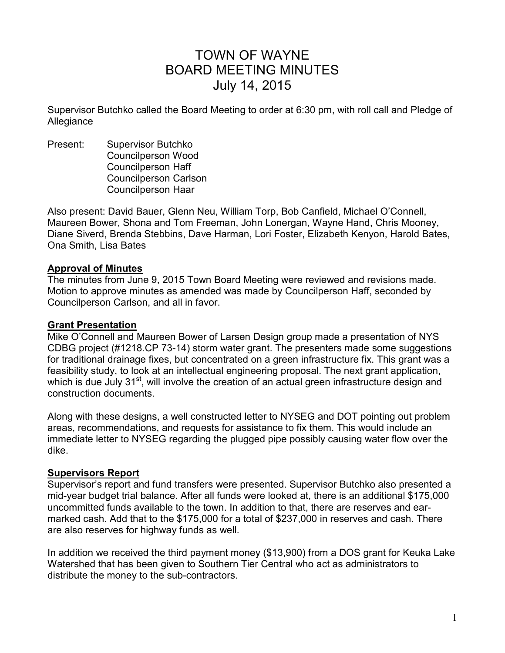# TOWN OF WAYNE BOARD MEETING MINUTES July 14, 2015

Supervisor Butchko called the Board Meeting to order at 6:30 pm, with roll call and Pledge of Allegiance

Present: Supervisor Butchko Councilperson Wood Councilperson Haff Councilperson Carlson Councilperson Haar

Also present: David Bauer, Glenn Neu, William Torp, Bob Canfield, Michael O'Connell, Maureen Bower, Shona and Tom Freeman, John Lonergan, Wayne Hand, Chris Mooney, Diane Siverd, Brenda Stebbins, Dave Harman, Lori Foster, Elizabeth Kenyon, Harold Bates, Ona Smith, Lisa Bates

## **Approval of Minutes**

The minutes from June 9, 2015 Town Board Meeting were reviewed and revisions made. Motion to approve minutes as amended was made by Councilperson Haff, seconded by Councilperson Carlson, and all in favor.

## **Grant Presentation**

Mike O'Connell and Maureen Bower of Larsen Design group made a presentation of NYS CDBG project (#1218.CP 73-14) storm water grant. The presenters made some suggestions for traditional drainage fixes, but concentrated on a green infrastructure fix. This grant was a feasibility study, to look at an intellectual engineering proposal. The next grant application, which is due July 31<sup>st</sup>, will involve the creation of an actual green infrastructure design and construction documents.

Along with these designs, a well constructed letter to NYSEG and DOT pointing out problem areas, recommendations, and requests for assistance to fix them. This would include an immediate letter to NYSEG regarding the plugged pipe possibly causing water flow over the dike.

# **Supervisors Report**

Supervisor's report and fund transfers were presented. Supervisor Butchko also presented a mid-year budget trial balance. After all funds were looked at, there is an additional \$175,000 uncommitted funds available to the town. In addition to that, there are reserves and earmarked cash. Add that to the \$175,000 for a total of \$237,000 in reserves and cash. There are also reserves for highway funds as well.

In addition we received the third payment money (\$13,900) from a DOS grant for Keuka Lake Watershed that has been given to Southern Tier Central who act as administrators to distribute the money to the sub-contractors.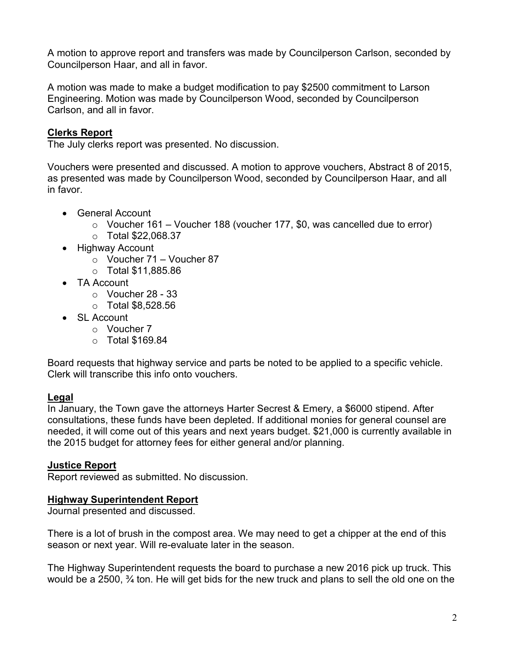A motion to approve report and transfers was made by Councilperson Carlson, seconded by Councilperson Haar, and all in favor.

A motion was made to make a budget modification to pay \$2500 commitment to Larson Engineering. Motion was made by Councilperson Wood, seconded by Councilperson Carlson, and all in favor.

# **Clerks Report**

The July clerks report was presented. No discussion.

Vouchers were presented and discussed. A motion to approve vouchers, Abstract 8 of 2015, as presented was made by Councilperson Wood, seconded by Councilperson Haar, and all in favor.

- General Account
	- $\circ$  Voucher 161 Voucher 188 (voucher 177, \$0, was cancelled due to error)
	- o Total \$22,068.37
- Highway Account
	- $\circ$  Voucher 71 Voucher 87
	- o Total \$11,885.86
- TA Account
	- $\circ$  Voucher 28 33
	- $\circ$  Total \$8.528.56
- SL Account
	- o Voucher 7
	- o Total \$169.84

Board requests that highway service and parts be noted to be applied to a specific vehicle. Clerk will transcribe this info onto vouchers.

# **Legal**

In January, the Town gave the attorneys Harter Secrest & Emery, a \$6000 stipend. After consultations, these funds have been depleted. If additional monies for general counsel are needed, it will come out of this years and next years budget. \$21,000 is currently available in the 2015 budget for attorney fees for either general and/or planning.

# **Justice Report**

Report reviewed as submitted. No discussion.

# **Highway Superintendent Report**

Journal presented and discussed.

There is a lot of brush in the compost area. We may need to get a chipper at the end of this season or next year. Will re-evaluate later in the season.

The Highway Superintendent requests the board to purchase a new 2016 pick up truck. This would be a 2500, <sup>3</sup>/<sub>4</sub> ton. He will get bids for the new truck and plans to sell the old one on the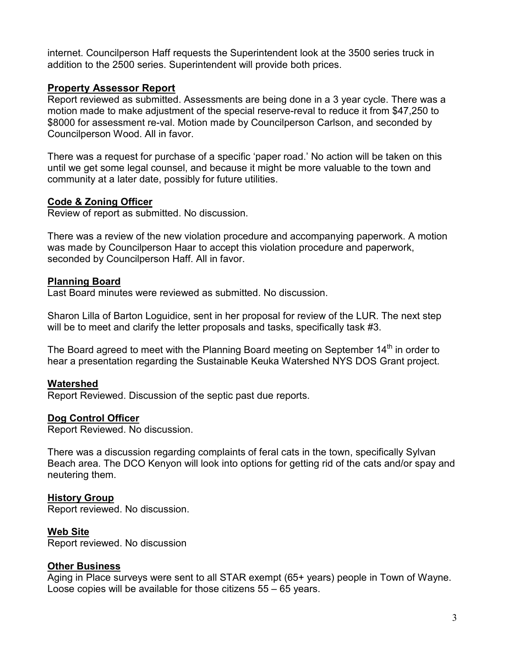internet. Councilperson Haff requests the Superintendent look at the 3500 series truck in addition to the 2500 series. Superintendent will provide both prices.

## **Property Assessor Report**

Report reviewed as submitted. Assessments are being done in a 3 year cycle. There was a motion made to make adjustment of the special reserve-reval to reduce it from \$47,250 to \$8000 for assessment re-val. Motion made by Councilperson Carlson, and seconded by Councilperson Wood. All in favor.

There was a request for purchase of a specific 'paper road.' No action will be taken on this until we get some legal counsel, and because it might be more valuable to the town and community at a later date, possibly for future utilities.

## **Code & Zoning Officer**

Review of report as submitted. No discussion.

There was a review of the new violation procedure and accompanying paperwork. A motion was made by Councilperson Haar to accept this violation procedure and paperwork, seconded by Councilperson Haff. All in favor.

## **Planning Board**

Last Board minutes were reviewed as submitted. No discussion.

Sharon Lilla of Barton Loguidice, sent in her proposal for review of the LUR. The next step will be to meet and clarify the letter proposals and tasks, specifically task #3.

The Board agreed to meet with the Planning Board meeting on September  $14<sup>th</sup>$  in order to hear a presentation regarding the Sustainable Keuka Watershed NYS DOS Grant project.

# **Watershed**

Report Reviewed. Discussion of the septic past due reports.

# **Dog Control Officer**

Report Reviewed. No discussion.

There was a discussion regarding complaints of feral cats in the town, specifically Sylvan Beach area. The DCO Kenyon will look into options for getting rid of the cats and/or spay and neutering them.

#### **History Group**

Report reviewed. No discussion.

#### **Web Site**

Report reviewed. No discussion

#### **Other Business**

Aging in Place surveys were sent to all STAR exempt (65+ years) people in Town of Wayne. Loose copies will be available for those citizens 55 – 65 years.